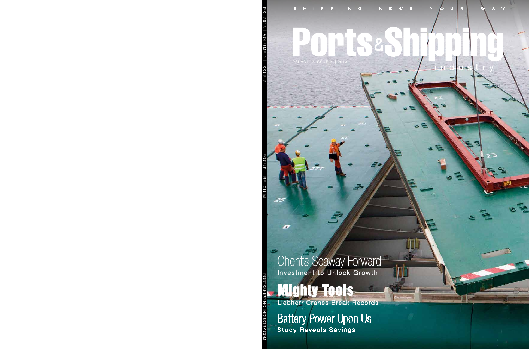### TEIS

PSI VOL. 2 ISSUE 2 | 2013

Ghent's Seaway Forward Investment to Unlock Growth

## Mighty Tools

×

Liebherr Cranes Break Records

Battery Power Upon Us Study Reveals Savings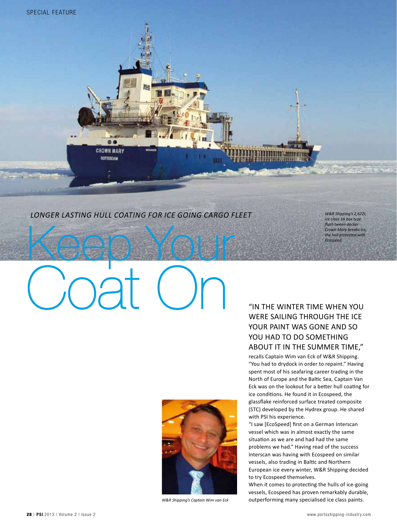#### *Longer Lasting Hull Coating for Ice Going Cargo Fleet*

*W&R Shipping's 2,622t, ice class 1A box type flush tween-decker Crown Mary breaks ice, the hull protected with Ecospeed.* 

# Keep Your Coat On

88 **CROWN MARY** ROTTERDAM



*W&R Shipping's Captain Wim van Eck*

#### "In the winter time when you were sailing through the ice your paint was gone and so YOU HAD TO DO SOMETHING about it in the summer time,"

**BARBADUAREAREA** 

recalls Captain Wim van Eck of W&R Shipping. "You had to drydock in order to repaint." Having spent most of his seafaring career trading in the North of Europe and the Baltic Sea, Captain Van Eck was on the lookout for a better hull coating for ice conditions. He found it in Ecospeed, the glassflake reinforced surface treated composite (STC) developed by the Hydrex group. He shared with PSI his experience.

"I saw [EcoSpeed] first on a German Interscan vessel which was in almost exactly the same situation as we are and had had the same problems we had." Having read of the success Interscan was having with Ecospeed on similar vessels, also trading in Baltic and Northern European ice every winter, W&R Shipping decided to try Ecospeed themselves.

When it comes to protecting the hulls of ice-going vessels, Ecospeed has proven remarkably durable, outperforming many specialised ice class paints.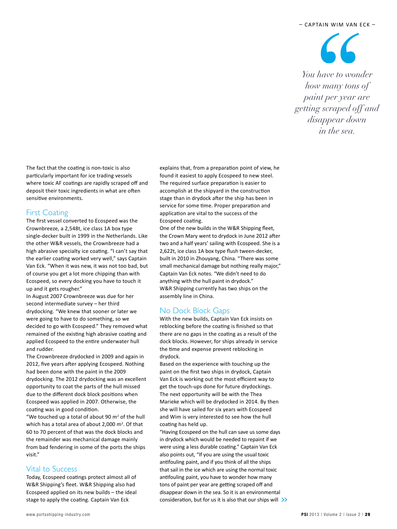66 *You have to wonder how many tons of paint per year are getting scraped off and disappear down in the sea.*

The fact that the coating is non-toxic is also particularly important for ice trading vessels where toxic AF coatings are rapidly scraped off and deposit their toxic ingredients in what are often sensitive environments.

#### First Coating

The first vessel converted to Ecospeed was the Crownbreeze, a 2,548t, ice class 1A box type single-decker built in 1999 in the Netherlands. Like the other W&R vessels, the Crownbreeze had a high abrasive specialty ice coating. "I can't say that the earlier coating worked very well," says Captain Van Eck. "When it was new, it was not too bad, but of course you get a lot more chipping than with Ecospeed, so every docking you have to touch it up and it gets rougher."

In August 2007 Crownbreeze was due for her second intermediate survey – her third drydocking. "We knew that sooner or later we were going to have to do something, so we decided to go with Ecospeed." They removed what remained of the existing high abrasive coating and applied Ecospeed to the entire underwater hull and rudder.

The Crownbreeze drydocked in 2009 and again in 2012, five years after applying Ecospeed. Nothing had been done with the paint in the 2009 drydocking. The 2012 drydocking was an excellent opportunity to coat the parts of the hull missed due to the different dock block positions when Ecospeed was applied in 2007. Otherwise, the coating was in good condition.

"We touched up a total of about 90  $m<sup>2</sup>$  of the hull which has a total area of about 2,000 m<sup>2</sup>. Of that 60 to 70 percent of that was the dock blocks and the remainder was mechanical damage mainly from bad fendering in some of the ports the ships visit."

#### Vital to Success

Today, Ecospeed coatings protect almost all of W&R Shipping's fleet. W&R Shipping also had Ecospeed applied on its new builds – the ideal stage to apply the coating. Captain Van Eck

explains that, from a preparation point of view, he found it easiest to apply Ecospeed to new steel. The required surface preparation is easier to accomplish at the shipyard in the construction stage than in drydock after the ship has been in service for some time. Proper preparation and application are vital to the success of the Ecospeed coating.

One of the new builds in the W&R Shipping fleet, the Crown Mary went to drydock in June 2012 after two and a half years' sailing with Ecospeed. She is a 2,622t, ice class 1A box type flush tween-decker, built in 2010 in Zhouyang, China. "There was some small mechanical damage but nothing really major," Captain Van Eck notes. "We didn't need to do anything with the hull paint in drydock." W&R Shipping currently has two ships on the assembly line in China.

#### No Dock Block Gaps

With the new builds, Captain Van Eck insists on reblocking before the coating is finished so that there are no gaps in the coating as a result of the dock blocks. However, for ships already in service the time and expense prevent reblocking in drydock.

Based on the experience with touching up the paint on the first two ships in drydock, Captain Van Eck is working out the most efficient way to get the touch-ups done for future drydockings. The next opportunity will be with the Thea Marieke which will be drydocked in 2014. By then she will have sailed for six years with Ecospeed and Wim is very interested to see how the hull coating has held up.

"Having Ecospeed on the hull can save us some days in drydock which would be needed to repaint if we were using a less durable coating." Captain Van Eck also points out, "If you are using the usual toxic antifouling paint, and if you think of all the ships that sail in the ice which are using the normal toxic antifouling paint, you have to wonder how many tons of paint per year are getting scraped off and disappear down in the sea. So it is an environmental consideration, but for us it is also that our ships will  $\gg$